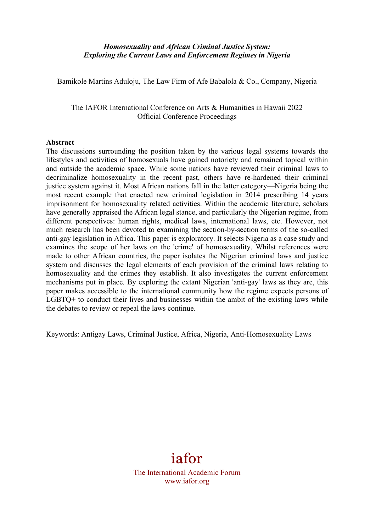# *Homosexuality and African Criminal Justice System: Exploring the Current Laws and Enforcement Regimes in Nigeria*

Bamikole Martins Aduloju, The Law Firm of Afe Babalola & Co., Company, Nigeria

The IAFOR International Conference on Arts & Humanities in Hawaii 2022 Official Conference Proceedings

#### **Abstract**

The discussions surrounding the position taken by the various legal systems towards the lifestyles and activities of homosexuals have gained notoriety and remained topical within and outside the academic space. While some nations have reviewed their criminal laws to decriminalize homosexuality in the recent past, others have re-hardened their criminal justice system against it. Most African nations fall in the latter category—Nigeria being the most recent example that enacted new criminal legislation in 2014 prescribing 14 years imprisonment for homosexuality related activities. Within the academic literature, scholars have generally appraised the African legal stance, and particularly the Nigerian regime, from different perspectives: human rights, medical laws, international laws, etc. However, not much research has been devoted to examining the section-by-section terms of the so-called anti-gay legislation in Africa. This paper is exploratory. It selects Nigeria as a case study and examines the scope of her laws on the 'crime' of homosexuality. Whilst references were made to other African countries, the paper isolates the Nigerian criminal laws and justice system and discusses the legal elements of each provision of the criminal laws relating to homosexuality and the crimes they establish. It also investigates the current enforcement mechanisms put in place. By exploring the extant Nigerian 'anti-gay' laws as they are, this paper makes accessible to the international community how the regime expects persons of LGBTQ+ to conduct their lives and businesses within the ambit of the existing laws while the debates to review or repeal the laws continue.

Keywords: Antigay Laws, Criminal Justice, Africa, Nigeria, Anti-Homosexuality Laws

# iafor The International Academic Forum www.iafor.org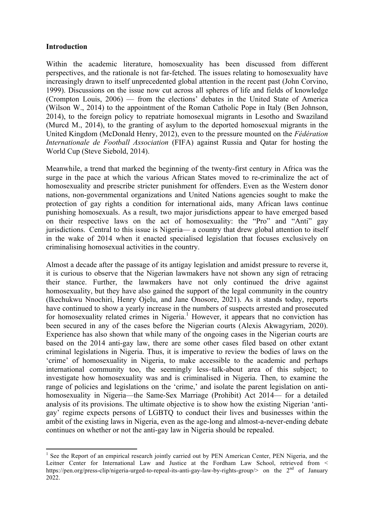## **Introduction**

Within the academic literature, homosexuality has been discussed from different perspectives, and the rationale is not far-fetched. The issues relating to homosexuality have increasingly drawn to itself unprecedented global attention in the recent past (John Corvino, 1999). Discussions on the issue now cut across all spheres of life and fields of knowledge (Crompton Louis, 2006) — from the elections' debates in the United State of America (Wilson W., 2014) to the appointment of the Roman Catholic Pope in Italy (Ben Johnson, 2014), to the foreign policy to repatriate homosexual migrants in Lesotho and Swaziland (Murcd M., 2014), to the granting of asylum to the deported homosexual migrants in the United Kingdom (McDonald Henry, 2012), even to the pressure mounted on the *Fédération Internationale de Football Association* (FIFA) against Russia and Qatar for hosting the World Cup (Steve Siebold, 2014).

Meanwhile, a trend that marked the beginning of the twenty-first century in Africa was the surge in the pace at which the various African States moved to re-criminalize the act of homosexuality and prescribe stricter punishment for offenders. Even as the Western donor nations, non-governmental organizations and United Nations agencies sought to make the protection of gay rights a condition for international aids, many African laws continue punishing homosexuals. As a result, two major jurisdictions appear to have emerged based on their respective laws on the act of homosexuality: the "Pro" and "Anti" gay jurisdictions. Central to this issue is Nigeria— a country that drew global attention to itself in the wake of 2014 when it enacted specialised legislation that focuses exclusively on criminalising homosexual activities in the country.

Almost a decade after the passage of its antigay legislation and amidst pressure to reverse it, it is curious to observe that the Nigerian lawmakers have not shown any sign of retracing their stance. Further, the lawmakers have not only continued the drive against homosexuality, but they have also gained the support of the legal community in the country (Ikechukwu Nnochiri, Henry Ojelu, and Jane Onosore, 2021). As it stands today, reports have continued to show a yearly increase in the numbers of suspects arrested and prosecuted for homosexuality related crimes in Nigeria.<sup>1</sup> However, it appears that no conviction has been secured in any of the cases before the Nigerian courts (Alexis Akwagyriam, 2020). Experience has also shown that while many of the ongoing cases in the Nigerian courts are based on the 2014 anti-gay law, there are some other cases filed based on other extant criminal legislations in Nigeria. Thus, it is imperative to review the bodies of laws on the 'crime' of homosexuality in Nigeria, to make accessible to the academic and perhaps international community too, the seemingly less–talk-about area of this subject; to investigate how homosexuality was and is criminalised in Nigeria. Then, to examine the range of policies and legislations on the 'crime,' and isolate the parent legislation on antihomosexuality in Nigeria—the Same-Sex Marriage (Prohibit) Act 2014— for a detailed analysis of its provisions. The ultimate objective is to show how the existing Nigerian 'antigay' regime expects persons of LGBTQ to conduct their lives and businesses within the ambit of the existing laws in Nigeria, even as the age-long and almost-a-never-ending debate continues on whether or not the anti-gay law in Nigeria should be repealed.

<u> 1989 - Jan Samuel Barbara, político establecido de la provincia de la provincia de la provincia de la provinci</u>

 $<sup>1</sup>$  See the Report of an empirical research jointly carried out by PEN American Center, PEN Nigeria, and the</sup> Leitner Center for International Law and Justice at the Fordham Law School, retrieved from < https://pen.org/press-clip/nigeria-urged-to-repeal-its-anti-gay-law-by-rights-group/> on the 2<sup>nd</sup> of January 2022.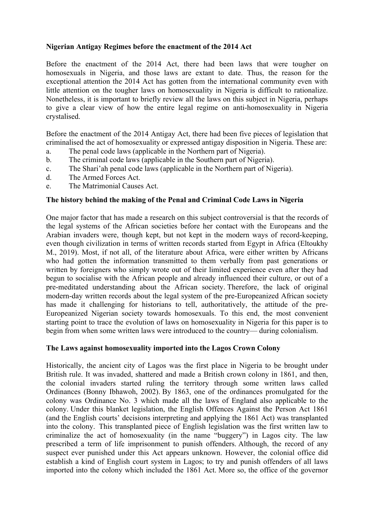# **Nigerian Antigay Regimes before the enactment of the 2014 Act**

Before the enactment of the 2014 Act, there had been laws that were tougher on homosexuals in Nigeria, and those laws are extant to date. Thus, the reason for the exceptional attention the 2014 Act has gotten from the international community even with little attention on the tougher laws on homosexuality in Nigeria is difficult to rationalize. Nonetheless, it is important to briefly review all the laws on this subject in Nigeria, perhaps to give a clear view of how the entire legal regime on anti-homosexuality in Nigeria crystalised.

Before the enactment of the 2014 Antigay Act, there had been five pieces of legislation that criminalised the act of homosexuality or expressed antigay disposition in Nigeria. These are:

- a. The penal code laws (applicable in the Northern part of Nigeria).
- b. The criminal code laws (applicable in the Southern part of Nigeria).
- c. The Shari'ah penal code laws (applicable in the Northern part of Nigeria).
- d. The Armed Forces Act.
- e. The Matrimonial Causes Act.

#### **The history behind the making of the Penal and Criminal Code Laws in Nigeria**

One major factor that has made a research on this subject controversial is that the records of the legal systems of the African societies before her contact with the Europeans and the Arabian invaders were, though kept, but not kept in the modern ways of record-keeping, even though civilization in terms of written records started from Egypt in Africa (Eltoukhy M., 2019). Most, if not all, of the literature about Africa, were either written by Africans who had gotten the information transmitted to them verbally from past generations or written by foreigners who simply wrote out of their limited experience even after they had begun to socialise with the African people and already influenced their culture, or out of a pre-meditated understanding about the African society. Therefore, the lack of original modern-day written records about the legal system of the pre-Europeanized African society has made it challenging for historians to tell, authoritatively, the attitude of the pre-Europeanized Nigerian society towards homosexuals. To this end, the most convenient starting point to trace the evolution of laws on homosexuality in Nigeria for this paper is to begin from when some written laws were introduced to the country— during colonialism.

#### **The Laws against homosexuality imported into the Lagos Crown Colony**

Historically, the ancient city of Lagos was the first place in Nigeria to be brought under British rule. It was invaded, shattered and made a British crown colony in 1861, and then, the colonial invaders started ruling the territory through some written laws called Ordinances (Bonny Ibhawoh, 2002). By 1863, one of the ordinances promulgated for the colony was Ordinance No. 3 which made all the laws of England also applicable to the colony. Under this blanket legislation, the English Offences Against the Person Act 1861 (and the English courts' decisions interpreting and applying the 1861 Act) was transplanted into the colony. This transplanted piece of English legislation was the first written law to criminalize the act of homosexuality (in the name "buggery") in Lagos city. The law prescribed a term of life imprisonment to punish offenders. Although, the record of any suspect ever punished under this Act appears unknown. However, the colonial office did establish a kind of English court system in Lagos; to try and punish offenders of all laws imported into the colony which included the 1861 Act. More so, the office of the governor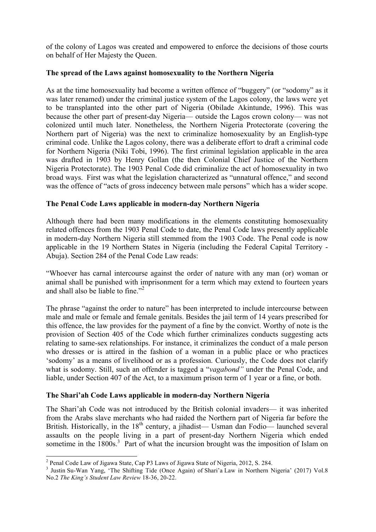of the colony of Lagos was created and empowered to enforce the decisions of those courts on behalf of Her Majesty the Queen.

# **The spread of the Laws against homosexuality to the Northern Nigeria**

As at the time homosexuality had become a written offence of "buggery" (or "sodomy" as it was later renamed) under the criminal justice system of the Lagos colony, the laws were yet to be transplanted into the other part of Nigeria (Obilade Akintunde, 1996). This was because the other part of present-day Nigeria— outside the Lagos crown colony— was not colonized until much later. Nonetheless, the Northern Nigeria Protectorate (covering the Northern part of Nigeria) was the next to criminalize homosexuality by an English-type criminal code. Unlike the Lagos colony, there was a deliberate effort to draft a criminal code for Northern Nigeria (Niki Tobi, 1996). The first criminal legislation applicable in the area was drafted in 1903 by Henry Gollan (the then Colonial Chief Justice of the Northern Nigeria Protectorate). The 1903 Penal Code did criminalize the act of homosexuality in two broad ways. First was what the legislation characterized as "unnatural offence," and second was the offence of "acts of gross indecency between male persons" which has a wider scope.

## **The Penal Code Laws applicable in modern-day Northern Nigeria**

Although there had been many modifications in the elements constituting homosexuality related offences from the 1903 Penal Code to date, the Penal Code laws presently applicable in modern-day Northern Nigeria still stemmed from the 1903 Code. The Penal code is now applicable in the 19 Northern States in Nigeria (including the Federal Capital Territory - Abuja). Section 284 of the Penal Code Law reads:

"Whoever has carnal intercourse against the order of nature with any man (or) woman or animal shall be punished with imprisonment for a term which may extend to fourteen years and shall also be liable to fine."<sup>2</sup>

The phrase "against the order to nature" has been interpreted to include intercourse between male and male or female and female genitals. Besides the jail term of 14 years prescribed for this offence, the law provides for the payment of a fine by the convict. Worthy of note is the provision of Section 405 of the Code which further criminalizes conducts suggesting acts relating to same-sex relationships. For instance, it criminalizes the conduct of a male person who dresses or is attired in the fashion of a woman in a public place or who practices 'sodomy' as a means of livelihood or as a profession. Curiously, the Code does not clarify what is sodomy. Still, such an offender is tagged a "*vagabond"* under the Penal Code, and liable, under Section 407 of the Act, to a maximum prison term of 1 year or a fine, or both.

#### **The Shari'ah Code Laws applicable in modern-day Northern Nigeria**

The Shari'ah Code was not introduced by the British colonial invaders— it was inherited from the Arabs slave merchants who had raided the Northern part of Nigeria far before the British. Historically, in the  $18<sup>th</sup>$  century, a jihadist— Usman dan Fodio— launched several assaults on the people living in a part of present-day Northern Nigeria which ended sometime in the 1800s.<sup>3</sup> Part of what the incursion brought was the imposition of Islam on

<sup>&</sup>lt;sup>2</sup> Penal Code Law of Jigawa State, Cap P3 Laws of Jigawa State of Nigeria, 2012, S. 284.<br><sup>3</sup> Justin Su-Wan Yang, 'The Shifting Tide (Once Again) of Shari'a Law in Northern Nigeria' (2017) Vol.8 No.2 *The King's Student Law Review* 18-36, 20-22.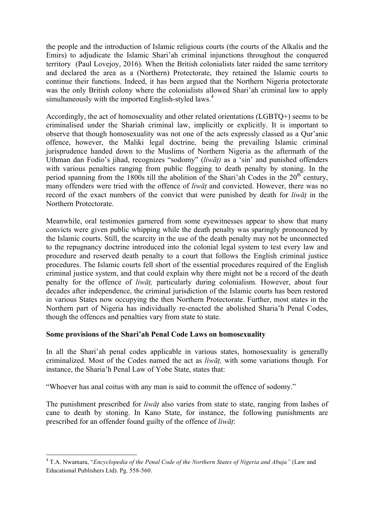the people and the introduction of Islamic religious courts (the courts of the Alkalis and the Emirs) to adjudicate the Islamic Shari'ah criminal injunctions throughout the conquered territory (Paul Lovejoy, 2016). When the British colonialists later raided the same territory and declared the area as a (Northern) Protectorate, they retained the Islamic courts to continue their functions. Indeed, it has been argued that the Northern Nigeria protectorate was the only British colony where the colonialists allowed Shari'ah criminal law to apply simultaneously with the imported English-styled laws.<sup>4</sup>

Accordingly, the act of homosexuality and other related orientations (LGBTQ+) seems to be criminalised under the Shariah criminal law, implicitly or explicitly. It is important to observe that though homosexuality was not one of the acts expressly classed as a Qur'anic offence, however, the Maliki legal doctrine, being the prevailing Islamic criminal jurisprudence handed down to the Muslims of Northern Nigeria as the aftermath of the Uthman dan Fodio's jihad, recognizes "sodomy" (*liwāṭ)* as a 'sin' and punished offenders with various penalties ranging from public flogging to death penalty by stoning. In the period spanning from the 1800s till the abolition of the Shari'ah Codes in the  $20<sup>th</sup>$  century, many offenders were tried with the offence of *liwāṭ* and convicted. However, there was no record of the exact numbers of the convict that were punished by death for *liwāṭ* in the Northern Protectorate.

Meanwhile, oral testimonies garnered from some eyewitnesses appear to show that many convicts were given public whipping while the death penalty was sparingly pronounced by the Islamic courts. Still, the scarcity in the use of the death penalty may not be unconnected to the repugnancy doctrine introduced into the colonial legal system to test every law and procedure and reserved death penalty to a court that follows the English criminal justice procedures. The Islamic courts fell short of the essential procedures required of the English criminal justice system, and that could explain why there might not be a record of the death penalty for the offence of *liwāṭ,* particularly during colonialism. However, about four decades after independence, the criminal jurisdiction of the Islamic courts has been restored in various States now occupying the then Northern Protectorate. Further, most states in the Northern part of Nigeria has individually re-enacted the abolished Sharia'h Penal Codes, though the offences and penalties vary from state to state.

#### **Some provisions of the Shari'ah Penal Code Laws on homosexuality**

<u> 1989 - Jan Samuel Barbara, político establecido de la provincia de la provincia de la provincia de la provinci</u>

In all the Shari'ah penal codes applicable in various states, homosexuality is generally criminalized. Most of the Codes named the act as *liwāṭ,* with some variations though*.* For instance, the Sharia'h Penal Law of Yobe State, states that:

"Whoever has anal coitus with any man is said to commit the offence of sodomy."

The punishment prescribed for *liwāṭ* also varies from state to state, ranging from lashes of cane to death by stoning. In Kano State, for instance, the following punishments are prescribed for an offender found guilty of the offence of *liwāṭ*:

<sup>4</sup> T.A. Nwamara, "*Encyclopedia of the Penal Code of the Northern States of Nigeria and Abuja"* (Law and Educational Publishers Ltd). Pg. 558-560.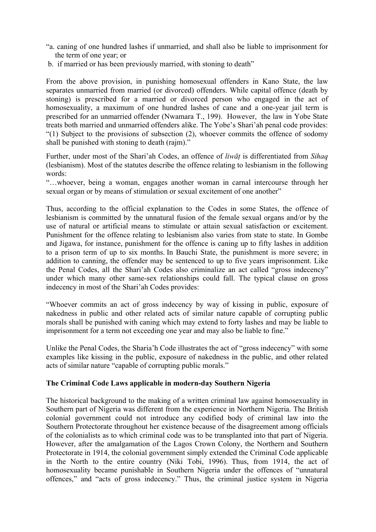- "a. caning of one hundred lashes if unmarried, and shall also be liable to imprisonment for the term of one year; or
- b. if married or has been previously married, with stoning to death"

From the above provision, in punishing homosexual offenders in Kano State, the law separates unmarried from married (or divorced) offenders. While capital offence (death by stoning) is prescribed for a married or divorced person who engaged in the act of homosexuality, a maximum of one hundred lashes of cane and a one-year jail term is prescribed for an unmarried offender (Nwamara T., 199). However, the law in Yobe State treats both married and unmarried offenders alike. The Yobe's Shari'ah penal code provides: "(1) Subject to the provisions of subsection (2), whoever commits the offence of sodomy shall be punished with stoning to death (rajm)."

Further, under most of the Shari'ah Codes, an offence of *liwāṭ* is differentiated from *Sihaq* (lesbianism). Most of the statutes describe the offence relating to lesbianism in the following words:

"…whoever, being a woman, engages another woman in carnal intercourse through her sexual organ or by means of stimulation or sexual excitement of one another"

Thus, according to the official explanation to the Codes in some States, the offence of lesbianism is committed by the unnatural fusion of the female sexual organs and/or by the use of natural or artificial means to stimulate or attain sexual satisfaction or excitement. Punishment for the offence relating to lesbianism also varies from state to state. In Gombe and Jigawa, for instance, punishment for the offence is caning up to fifty lashes in addition to a prison term of up to six months. In Bauchi State, the punishment is more severe; in addition to canning, the offender may be sentenced to up to five years imprisonment. Like the Penal Codes, all the Shari'ah Codes also criminalize an act called "gross indecency" under which many other same-sex relationships could fall. The typical clause on gross indecency in most of the Shari'ah Codes provides:

"Whoever commits an act of gross indecency by way of kissing in public, exposure of nakedness in public and other related acts of similar nature capable of corrupting public morals shall be punished with caning which may extend to forty lashes and may be liable to imprisonment for a term not exceeding one year and may also be liable to fine."

Unlike the Penal Codes, the Sharia'h Code illustrates the act of "gross indecency" with some examples like kissing in the public, exposure of nakedness in the public, and other related acts of similar nature "capable of corrupting public morals."

#### **The Criminal Code Laws applicable in modern-day Southern Nigeria**

The historical background to the making of a written criminal law against homosexuality in Southern part of Nigeria was different from the experience in Northern Nigeria. The British colonial government could not introduce any codified body of criminal law into the Southern Protectorate throughout her existence because of the disagreement among officials of the colonialists as to which criminal code was to be transplanted into that part of Nigeria. However, after the amalgamation of the Lagos Crown Colony, the Northern and Southern Protectorate in 1914, the colonial government simply extended the Criminal Code applicable in the North to the entire country (Niki Tobi, 1996). Thus, from 1914, the act of homosexuality became punishable in Southern Nigeria under the offences of "unnatural offences," and "acts of gross indecency." Thus, the criminal justice system in Nigeria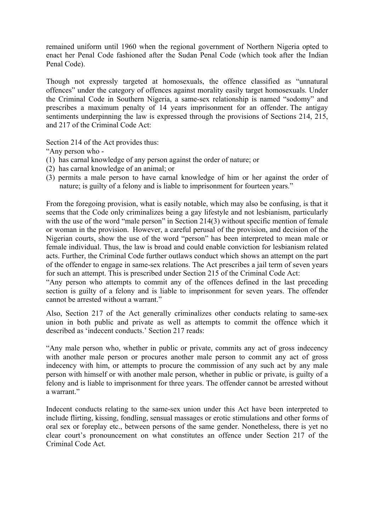remained uniform until 1960 when the regional government of Northern Nigeria opted to enact her Penal Code fashioned after the Sudan Penal Code (which took after the Indian Penal Code).

Though not expressly targeted at homosexuals, the offence classified as "unnatural offences" under the category of offences against morality easily target homosexuals. Under the Criminal Code in Southern Nigeria, a same-sex relationship is named "sodomy" and prescribes a maximum penalty of 14 years imprisonment for an offender. The antigay sentiments underpinning the law is expressed through the provisions of Sections 214, 215, and 217 of the Criminal Code Act:

Section 214 of the Act provides thus:

"Any person who -

- (1) has carnal knowledge of any person against the order of nature; or
- (2) has carnal knowledge of an animal; or
- (3) permits a male person to have carnal knowledge of him or her against the order of nature; is guilty of a felony and is liable to imprisonment for fourteen years."

From the foregoing provision, what is easily notable, which may also be confusing, is that it seems that the Code only criminalizes being a gay lifestyle and not lesbianism, particularly with the use of the word "male person" in Section 214(3) without specific mention of female or woman in the provision. However, a careful perusal of the provision, and decision of the Nigerian courts, show the use of the word "person" has been interpreted to mean male or female individual. Thus, the law is broad and could enable conviction for lesbianism related acts. Further, the Criminal Code further outlaws conduct which shows an attempt on the part of the offender to engage in same-sex relations. The Act prescribes a jail term of seven years for such an attempt. This is prescribed under Section 215 of the Criminal Code Act:

"Any person who attempts to commit any of the offences defined in the last preceding section is guilty of a felony and is liable to imprisonment for seven years. The offender cannot be arrested without a warrant."

Also, Section 217 of the Act generally criminalizes other conducts relating to same-sex union in both public and private as well as attempts to commit the offence which it described as 'indecent conducts.' Section 217 reads:

"Any male person who, whether in public or private, commits any act of gross indecency with another male person or procures another male person to commit any act of gross indecency with him, or attempts to procure the commission of any such act by any male person with himself or with another male person, whether in public or private, is guilty of a felony and is liable to imprisonment for three years. The offender cannot be arrested without a warrant"

Indecent conducts relating to the same-sex union under this Act have been interpreted to include flirting, kissing, fondling, sensual massages or erotic stimulations and other forms of oral sex or foreplay etc., between persons of the same gender. Nonetheless, there is yet no clear court's pronouncement on what constitutes an offence under Section 217 of the Criminal Code Act.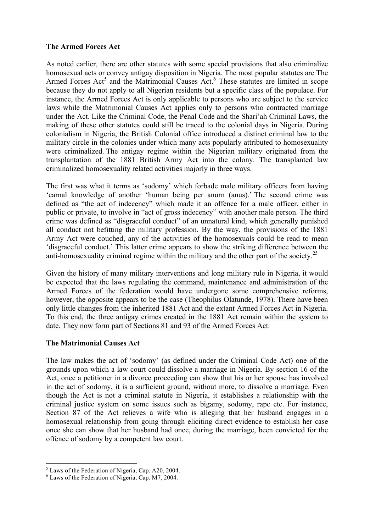## **The Armed Forces Act**

As noted earlier, there are other statutes with some special provisions that also criminalize homosexual acts or convey antigay disposition in Nigeria. The most popular statutes are The Armed Forces Act<sup>5</sup> and the Matrimonial Causes Act.<sup>6</sup> These statutes are limited in scope because they do not apply to all Nigerian residents but a specific class of the populace. For instance, the Armed Forces Act is only applicable to persons who are subject to the service laws while the Matrimonial Causes Act applies only to persons who contracted marriage under the Act. Like the Criminal Code, the Penal Code and the Shari'ah Criminal Laws, the making of these other statutes could still be traced to the colonial days in Nigeria. During colonialism in Nigeria, the British Colonial office introduced a distinct criminal law to the military circle in the colonies under which many acts popularly attributed to homosexuality were criminalized. The antigay regime within the Nigerian military originated from the transplantation of the 1881 British Army Act into the colony. The transplanted law criminalized homosexuality related activities majorly in three ways.

The first was what it terms as 'sodomy' which forbade male military officers from having 'carnal knowledge of another 'human being per anurn (anus).' The second crime was defined as "the act of indecency" which made it an offence for a male officer, either in public or private, to involve in "act of gross indecency" with another male person. The third crime was defined as "disgraceful conduct" of an unnatural kind, which generally punished all conduct not befitting the military profession. By the way, the provisions of the 1881 Army Act were couched, any of the activities of the homosexuals could be read to mean 'disgraceful conduct.' This latter crime appears to show the striking difference between the anti-homosexuality criminal regime within the military and the other part of the society.<sup>25</sup>

Given the history of many military interventions and long military rule in Nigeria, it would be expected that the laws regulating the command, maintenance and administration of the Armed Forces of the federation would have undergone some comprehensive reforms, however, the opposite appears to be the case (Theophilus Olatunde, 1978). There have been only little changes from the inherited 1881 Act and the extant Armed Forces Act in Nigeria. To this end, the three antigay crimes created in the 1881 Act remain within the system to date. They now form part of Sections 81 and 93 of the Armed Forces Act.

# **The Matrimonial Causes Act**

The law makes the act of 'sodomy' (as defined under the Criminal Code Act) one of the grounds upon which a law court could dissolve a marriage in Nigeria. By section 16 of the Act, once a petitioner in a divorce proceeding can show that his or her spouse has involved in the act of sodomy, it is a sufficient ground, without more, to dissolve a marriage. Even though the Act is not a criminal statute in Nigeria, it establishes a relationship with the criminal justice system on some issues such as bigamy, sodomy, rape etc. For instance, Section 87 of the Act relieves a wife who is alleging that her husband engages in a homosexual relationship from going through eliciting direct evidence to establish her case once she can show that her husband had once, during the marriage, been convicted for the offence of sodomy by a competent law court.

 

 $<sup>5</sup>$  Laws of the Federation of Nigeria, Cap. A20, 2004.</sup>

<sup>6</sup> Laws of the Federation of Nigeria, Cap. M7, 2004.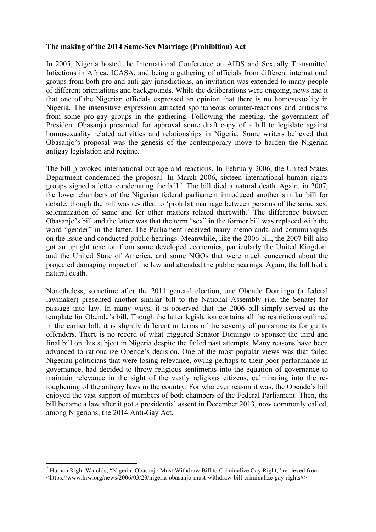# **The making of the 2014 Same-Sex Marriage (Prohibition) Act**

In 2005, Nigeria hosted the International Conference on AIDS and Sexually Transmitted Infections in Africa, ICASA, and being a gathering of officials from different international groups from both pro and anti-gay jurisdictions, an invitation was extended to many people of different orientations and backgrounds. While the deliberations were ongoing, news had it that one of the Nigerian officials expressed an opinion that there is no homosexuality in Nigeria. The insensitive expression attracted spontaneous counter-reactions and criticisms from some pro-gay groups in the gathering. Following the meeting, the government of President Obasanjo presented for approval some draft copy of a bill to legislate against homosexuality related activities and relationships in Nigeria. Some writers believed that Obasanjo's proposal was the genesis of the contemporary move to harden the Nigerian antigay legislation and regime.

The bill provoked international outrage and reactions. In February 2006, the United States Department condemned the proposal. In March 2006, sixteen international human rights groups signed a letter condemning the bill.<sup>7</sup> The bill died a natural death. Again, in 2007, the lower chambers of the Nigerian federal parliament introduced another similar bill for debate, though the bill was re-titled to 'prohibit marriage between persons of the same sex, solemnization of same and for other matters related therewith.' The difference between Obasanjo's bill and the latter was that the term "sex" in the former bill was replaced with the word "gender" in the latter. The Parliament received many memoranda and communiqués on the issue and conducted public hearings. Meanwhile, like the 2006 bill, the 2007 bill also got an uptight reaction from some developed economies, particularly the United Kingdom and the United State of America, and some NGOs that were much concerned about the projected damaging impact of the law and attended the public hearings. Again, the bill had a natural death.

Nonetheless, sometime after the 2011 general election, one Obende Domingo (a federal lawmaker) presented another similar bill to the National Assembly (i.e. the Senate) for passage into law. In many ways, it is observed that the 2006 bill simply served as the template for Obende's bill. Though the latter legislation contains all the restrictions outlined in the earlier bill, it is slightly different in terms of the severity of punishments for guilty offenders. There is no record of what triggered Senator Domingo to sponsor the third and final bill on this subject in Nigeria despite the failed past attempts. Many reasons have been advanced to rationalize Obende's decision. One of the most popular views was that failed Nigerian politicians that were losing relevance, owing perhaps to their poor performance in governance, had decided to throw religious sentiments into the equation of governance to maintain relevance in the sight of the vastly religious citizens, culminating into the retoughening of the antigay laws in the country. For whatever reason it was, the Obende's bill enjoyed the vast support of members of both chambers of the Federal Parliament. Then, the bill became a law after it got a presidential assent in December 2013, now commonly called, among Nigerians, the 2014 Anti-Gay Act.

 

<sup>7</sup> Human Right Watch's, "Nigeria: Obasanjo Must Withdraw Bill to Criminalize Gay Right," retrieved from <https://www.hrw.org/news/2006/03/23/nigeria-obasanjo-must-withdraw-bill-criminalize-gay-rights#>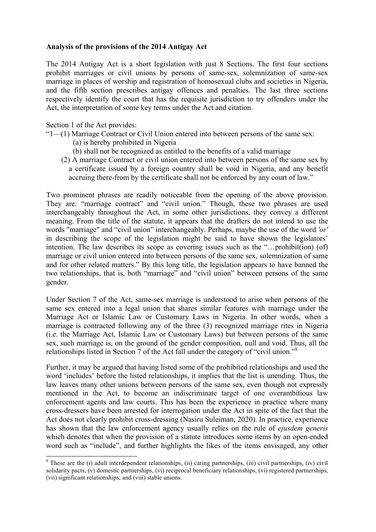## **Analysis of the provisions of the 2014 Antigay Act**

The 2014 Antigay Act is a short legislation with just 8 Sections. The first four sections prohibit marriages or civil unions by persons of same-sex, solemnization of same-sex marriage in places of worship and registration of homosexual clubs and societies in Nigeria, and the fifth section prescribes antigay offences and penalties. The last three sections respectively identify the court that has the requisite jurisdiction to try offenders under the Act, the interpretation of some key terms under the Act and citation.

Section 1 of the Act provides:

- "1—(1) Marriage Contract or Civil Union entered into between persons of the same sex:
	- (a) is hereby prohibited in Nigeria
	- (b) shall not be recognized as entitled to the benefits of a valid marriage
	- (2) A marriage Contract or civil union entered into between persons of the same sex by a certificate issued by a foreign country shall be void in Nigeria, and any benefit accruing there-from by the certificate shall not be enforced by any court of law."

Two prominent phrases are readily noticeable from the opening of the above provision. They are: "marriage contract" and "civil union." Though, these two phrases are used interchangeably throughout the Act, in some other jurisdictions, they convey a different meaning. From the title of the statute, it appears that the drafters do not intend to use the words "marriage" and "civil union" interchangeably. Perhaps, maybe the use of the word *'or'* in describing the scope of the legislation might be said to have shown the legislators' intention. The law describes its scope as covering issues such as the "…prohibit(ion) (of) marriage or civil union entered into between persons of the same sex, solemnization of same and for other related matters." By this long title, the legislation appears to have banned the two relationships, that is, both "marriage" and "civil union" between persons of the same gender.

Under Section 7 of the Act, same-sex marriage is understood to arise when persons of the same sex entered into a legal union that shares similar features with marriage under the Marriage Act or Islamic Law or Customary Laws in Nigeria. In other words, when a marriage is contracted following any of the three (3) recognized marriage rites in Nigeria (i.e. the Marriage Act, Islamic Law or Customary Laws) but between persons of the same sex, such marriage is, on the ground of the gender composition, null and void. Thus, all the relationships listed in Section 7 of the Act fall under the category of "civil union."<sup>8</sup>

Further, it may be argued that having listed some of the prohibited relationships and used the word 'includes' before the listed relationships, it implies that the list is unending. Thus, the law leaves many other unions between persons of the same sex, even though not expressly mentioned in the Act, to become an indiscriminate target of one overambitious law enforcement agents and law courts. This has been the experience in practice where many cross-dressers have been arrested for interrogation under the Act in spite of the fact that the Act does not clearly prohibit cross-dressing (Nasiru Suleiman, 2020). In practice, experience has shown that the law enforcement agency usually relies on the rule of *ejusdem generis* which denotes that when the provision of a statute introduces some items by an open-ended word such as "include", and further highlights the likes of the items envisaged, any other

 $8$  These are the (i) adult interdependent relationships, (ii) caring partnerships, (iii) civil partnerships, (iv) civil solidarity pacts, (v) domestic partnerships, (vi) reciprocal beneficiary relationships, (vi) registered partnerships, (vii) significant relationships; and (viii) stable unions.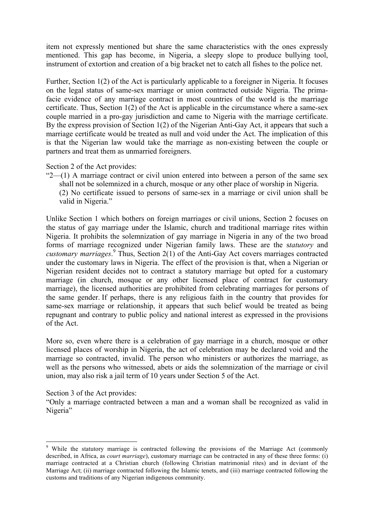item not expressly mentioned but share the same characteristics with the ones expressly mentioned. This gap has become, in Nigeria, a sleepy slope to produce bullying tool, instrument of extortion and creation of a big bracket net to catch all fishes to the police net.

Further, Section 1(2) of the Act is particularly applicable to a foreigner in Nigeria. It focuses on the legal status of same-sex marriage or union contracted outside Nigeria. The primafacie evidence of any marriage contract in most countries of the world is the marriage certificate. Thus, Section 1(2) of the Act is applicable in the circumstance where a same-sex couple married in a pro-gay jurisdiction and came to Nigeria with the marriage certificate. By the express provision of Section 1(2) of the Nigerian Anti-Gay Act, it appears that such a marriage certificate would be treated as null and void under the Act. The implication of this is that the Nigerian law would take the marriage as non-existing between the couple or partners and treat them as unmarried foreigners.

Section 2 of the Act provides:

" $2$ —(1) A marriage contract or civil union entered into between a person of the same sex shall not be solemnized in a church, mosque or any other place of worship in Nigeria. (2) No certificate issued to persons of same-sex in a marriage or civil union shall be valid in Nigeria."

Unlike Section 1 which bothers on foreign marriages or civil unions, Section 2 focuses on the status of gay marriage under the Islamic, church and traditional marriage rites within Nigeria. It prohibits the solemnization of gay marriage in Nigeria in any of the two broad forms of marriage recognized under Nigerian family laws. These are the s*tatutory* and *customary marriages*. <sup>9</sup> Thus, Section 2(1) of the Anti-Gay Act covers marriages contracted under the customary laws in Nigeria. The effect of the provision is that, when a Nigerian or Nigerian resident decides not to contract a statutory marriage but opted for a customary marriage (in church, mosque or any other licensed place of contract for customary marriage), the licensed authorities are prohibited from celebrating marriages for persons of the same gender. If perhaps, there is any religious faith in the country that provides for same-sex marriage or relationship, it appears that such belief would be treated as being repugnant and contrary to public policy and national interest as expressed in the provisions of the Act.

More so, even where there is a celebration of gay marriage in a church, mosque or other licensed places of worship in Nigeria, the act of celebration may be declared void and the marriage so contracted, invalid. The person who ministers or authorizes the marriage, as well as the persons who witnessed, abets or aids the solemnization of the marriage or civil union, may also risk a jail term of 10 years under Section 5 of the Act.

Section 3 of the Act provides:

<u> 1989 - Jan Samuel Barbara, político establecido de la provincia de la provincia de la provincia de la provinci</u>

"Only a marriage contracted between a man and a woman shall be recognized as valid in Nigeria"

<sup>9</sup> While the statutory marriage is contracted following the provisions of the Marriage Act (commonly described, in Africa, as *court marriage*), customary marriage can be contracted in any of these three forms: (i) marriage contracted at a Christian church (following Christian matrimonial rites) and in deviant of the Marriage Act; (ii) marriage contracted following the Islamic tenets, and (iii) marriage contracted following the customs and traditions of any Nigerian indigenous community.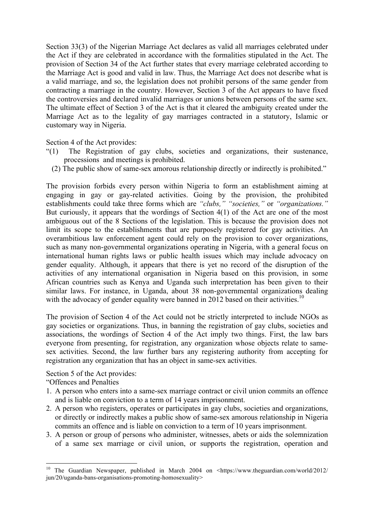Section 33(3) of the Nigerian Marriage Act declares as valid all marriages celebrated under the Act if they are celebrated in accordance with the formalities stipulated in the Act. The provision of Section 34 of the Act further states that every marriage celebrated according to the Marriage Act is good and valid in law. Thus, the Marriage Act does not describe what is a valid marriage, and so, the legislation does not prohibit persons of the same gender from contracting a marriage in the country. However, Section 3 of the Act appears to have fixed the controversies and declared invalid marriages or unions between persons of the same sex. The ultimate effect of Section 3 of the Act is that it cleared the ambiguity created under the Marriage Act as to the legality of gay marriages contracted in a statutory, Islamic or customary way in Nigeria.

Section 4 of the Act provides:

- "(1) The Registration of gay clubs, societies and organizations, their sustenance, processions and meetings is prohibited.
	- (2) The public show of same-sex amorous relationship directly or indirectly is prohibited."

The provision forbids every person within Nigeria to form an establishment aiming at engaging in gay or gay-related activities. Going by the provision, the prohibited establishments could take three forms which are *"clubs," "societies,"* or *"organizations."* But curiously, it appears that the wordings of Section 4(1) of the Act are one of the most ambiguous out of the 8 Sections of the legislation. This is because the provision does not limit its scope to the establishments that are purposely registered for gay activities. An overambitious law enforcement agent could rely on the provision to cover organizations, such as many non-governmental organizations operating in Nigeria, with a general focus on international human rights laws or public health issues which may include advocacy on gender equality. Although, it appears that there is yet no record of the disruption of the activities of any international organisation in Nigeria based on this provision, in some African countries such as Kenya and Uganda such interpretation has been given to their similar laws. For instance, in Uganda, about 38 non-governmental organizations dealing with the advocacy of gender equality were banned in 2012 based on their activities.<sup>10</sup>

The provision of Section 4 of the Act could not be strictly interpreted to include NGOs as gay societies or organizations. Thus, in banning the registration of gay clubs, societies and associations, the wordings of Section 4 of the Act imply two things. First, the law bars everyone from presenting, for registration, any organization whose objects relate to samesex activities. Second, the law further bars any registering authority from accepting for registration any organization that has an object in same-sex activities.

Section 5 of the Act provides:

 

"Offences and Penalties

- 1. A person who enters into a same-sex marriage contract or civil union commits an offence and is liable on conviction to a term of 14 years imprisonment.
- 2. A person who registers, operates or participates in gay clubs, societies and organizations, or directly or indirectly makes a public show of same-sex amorous relationship in Nigeria commits an offence and is liable on conviction to a term of 10 years imprisonment.
- 3. A person or group of persons who administer, witnesses, abets or aids the solemnization of a same sex marriage or civil union, or supports the registration, operation and

<sup>10</sup> The Guardian Newspaper, published in March 2004 on <https://www.theguardian.com/world/2012/ jun/20/uganda-bans-organisations-promoting-homosexuality>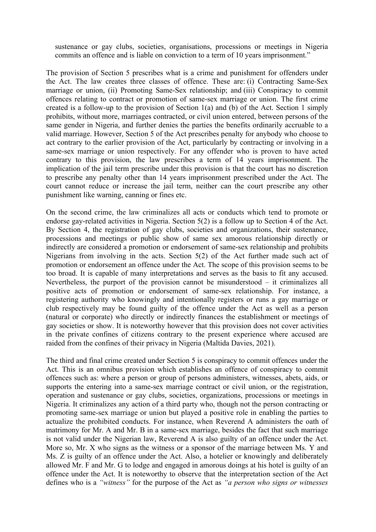sustenance or gay clubs, societies, organisations, processions or meetings in Nigeria commits an offence and is liable on conviction to a term of 10 years imprisonment."

The provision of Section 5 prescribes what is a crime and punishment for offenders under the Act. The law creates three classes of offence. These are: (i) Contracting Same-Sex marriage or union, (ii) Promoting Same-Sex relationship; and (iii) Conspiracy to commit offences relating to contract or promotion of same-sex marriage or union. The first crime created is a follow-up to the provision of Section 1(a) and (b) of the Act. Section 1 simply prohibits, without more, marriages contracted, or civil union entered, between persons of the same gender in Nigeria, and further denies the parties the benefits ordinarily accruable to a valid marriage. However, Section 5 of the Act prescribes penalty for anybody who choose to act contrary to the earlier provision of the Act, particularly by contracting or involving in a same-sex marriage or union respectively. For any offender who is proven to have acted contrary to this provision, the law prescribes a term of 14 years imprisonment. The implication of the jail term prescribe under this provision is that the court has no discretion to prescribe any penalty other than 14 years imprisonment prescribed under the Act. The court cannot reduce or increase the jail term, neither can the court prescribe any other punishment like warning, canning or fines etc.

On the second crime, the law criminalizes all acts or conducts which tend to promote or endorse gay-related activities in Nigeria. Section 5(2) is a follow up to Section 4 of the Act. By Section 4, the registration of gay clubs, societies and organizations, their sustenance, processions and meetings or public show of same sex amorous relationship directly or indirectly are considered a promotion or endorsement of same-sex relationship and prohibits Nigerians from involving in the acts. Section 5(2) of the Act further made such act of promotion or endorsement an offence under the Act. The scope of this provision seems to be too broad. It is capable of many interpretations and serves as the basis to fit any accused. Nevertheless, the purport of the provision cannot be misunderstood – it criminalizes all positive acts of promotion or endorsement of same-sex relationship. For instance, a registering authority who knowingly and intentionally registers or runs a gay marriage or club respectively may be found guilty of the offence under the Act as well as a person (natural or corporate) who directly or indirectly finances the establishment or meetings of gay societies or show. It is noteworthy however that this provision does not cover activities in the private confines of citizens contrary to the present experience where accused are raided from the confines of their privacy in Nigeria (Maltida Davies, 2021).

The third and final crime created under Section 5 is conspiracy to commit offences under the Act. This is an omnibus provision which establishes an offence of conspiracy to commit offences such as: where a person or group of persons administers, witnesses, abets, aids, or supports the entering into a same-sex marriage contract or civil union, or the registration, operation and sustenance or gay clubs, societies, organizations, processions or meetings in Nigeria. It criminalizes any action of a third party who, though not the person contracting or promoting same-sex marriage or union but played a positive role in enabling the parties to actualize the prohibited conducts. For instance, when Reverend A administers the oath of matrimony for Mr. A and Mr. B in a same-sex marriage, besides the fact that such marriage is not valid under the Nigerian law, Reverend A is also guilty of an offence under the Act. More so, Mr. X who signs as the witness or a sponsor of the marriage between Ms. Y and Ms. Z is guilty of an offence under the Act. Also, a hotelier or knowingly and deliberately allowed Mr. F and Mr. G to lodge and engaged in amorous doings at his hotel is guilty of an offence under the Act. It is noteworthy to observe that the interpretation section of the Act defines who is a *"witness"* for the purpose of the Act as *"a person who signs or witnesses*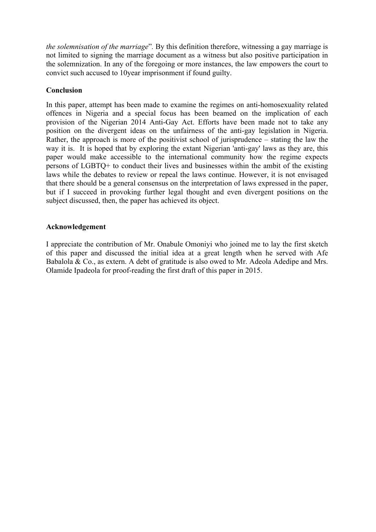*the solemnisation of the marriage*"*.* By this definition therefore, witnessing a gay marriage is not limited to signing the marriage document as a witness but also positive participation in the solemnization. In any of the foregoing or more instances, the law empowers the court to convict such accused to 10year imprisonment if found guilty.

# **Conclusion**

In this paper, attempt has been made to examine the regimes on anti-homosexuality related offences in Nigeria and a special focus has been beamed on the implication of each provision of the Nigerian 2014 Anti-Gay Act. Efforts have been made not to take any position on the divergent ideas on the unfairness of the anti-gay legislation in Nigeria. Rather, the approach is more of the positivist school of jurisprudence – stating the law the way it is. It is hoped that by exploring the extant Nigerian 'anti-gay' laws as they are, this paper would make accessible to the international community how the regime expects persons of LGBTQ+ to conduct their lives and businesses within the ambit of the existing laws while the debates to review or repeal the laws continue. However, it is not envisaged that there should be a general consensus on the interpretation of laws expressed in the paper, but if I succeed in provoking further legal thought and even divergent positions on the subject discussed, then, the paper has achieved its object.

#### **Acknowledgement**

I appreciate the contribution of Mr. Onabule Omoniyi who joined me to lay the first sketch of this paper and discussed the initial idea at a great length when he served with Afe Babalola & Co., as extern. A debt of gratitude is also owed to Mr. Adeola Adedipe and Mrs. Olamide Ipadeola for proof-reading the first draft of this paper in 2015.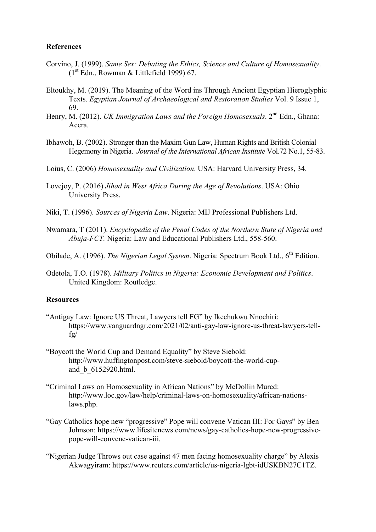## **References**

- Corvino, J. (1999). *Same Sex: Debating the Ethics, Science and Culture of Homosexuality*.  $(1<sup>st</sup> Edn., Rowman & Littlefield 1999) 67.$
- Eltoukhy, M. (2019). The Meaning of the Word ins Through Ancient Egyptian Hieroglyphic Texts. *Egyptian Journal of Archaeological and Restoration Studies* Vol. 9 Issue 1, 69.
- Henry, M. (2012). *UK Immigration Laws and the Foreign Homosexuals*. 2<sup>nd</sup> Edn., Ghana: Accra.
- Ibhawoh, B. (2002). Stronger than the Maxim Gun Law, Human Rights and British Colonial Hegemony in Nigeria. *Journal of the International African Institute* Vol.72 No.1, 55-83.
- Loius, C. (2006) *Homosexuality and Civilization*. USA: Harvard University Press, 34.
- Lovejoy, P. (2016) *Jihad in West Africa During the Age of Revolutions*. USA: Ohio University Press.
- Niki, T. (1996). *Sources of Nigeria Law*. Nigeria: MIJ Professional Publishers Ltd.
- Nwamara, T (2011). *Encyclopedia of the Penal Codes of the Northern State of Nigeria and Abuja-FCT.* Nigeria: Law and Educational Publishers Ltd., 558-560.

Obilade, A. (1996). *The Nigerian Legal System*. Nigeria: Spectrum Book Ltd., 6<sup>th</sup> Edition.

Odetola, T.O. (1978). *Military Politics in Nigeria: Economic Development and Politics*. United Kingdom: Routledge.

#### **Resources**

- "Antigay Law: Ignore US Threat, Lawyers tell FG" by Ikechukwu Nnochiri: https://www.vanguardngr.com/2021/02/anti-gay-law-ignore-us-threat-lawyers-tellfg/
- "Boycott the World Cup and Demand Equality" by Steve Siebold: http://www.huffingtonpost.com/steve-siebold/boycott-the-world-cupand\_b\_6152920.html.
- "Criminal Laws on Homosexuality in African Nations" by McDollin Murcd: http://www.loc.gov/law/help/criminal-laws-on-homosexuality/african-nationslaws.php.
- "Gay Catholics hope new "progressive" Pope will convene Vatican III: For Gays" by Ben Johnson: https://www.lifesitenews.com/news/gay-catholics-hope-new-progressivepope-will-convene-vatican-iii.
- "Nigerian Judge Throws out case against 47 men facing homosexuality charge" by Alexis Akwagyiram: https://www.reuters.com/article/us-nigeria-lgbt-idUSKBN27C1TZ.